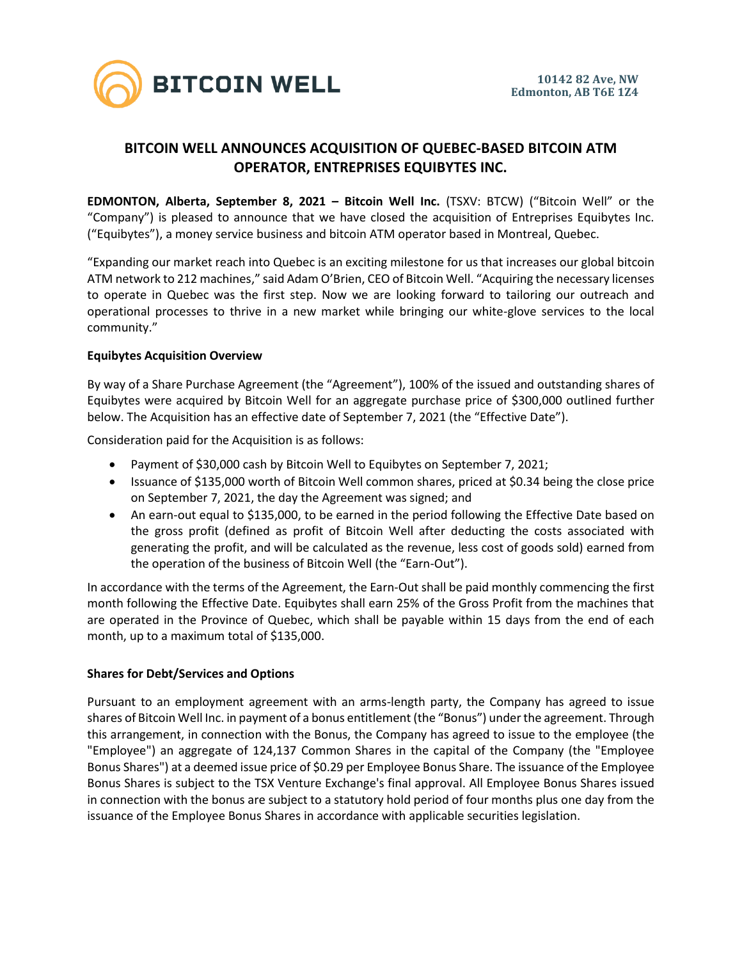

# **BITCOIN WELL ANNOUNCES ACQUISITION OF QUEBEC-BASED BITCOIN ATM OPERATOR, ENTREPRISES EQUIBYTES INC.**

**EDMONTON, Alberta, September 8, 2021 – Bitcoin Well Inc.** (TSXV: BTCW) ("Bitcoin Well" or the "Company") is pleased to announce that we have closed the acquisition of Entreprises Equibytes Inc. ("Equibytes"), a money service business and bitcoin ATM operator based in Montreal, Quebec.

"Expanding our market reach into Quebec is an exciting milestone for us that increases our global bitcoin ATM network to 212 machines," said Adam O'Brien, CEO of Bitcoin Well. "Acquiring the necessary licenses to operate in Quebec was the first step. Now we are looking forward to tailoring our outreach and operational processes to thrive in a new market while bringing our white-glove services to the local community."

# **Equibytes Acquisition Overview**

By way of a Share Purchase Agreement (the "Agreement"), 100% of the issued and outstanding shares of Equibytes were acquired by Bitcoin Well for an aggregate purchase price of \$300,000 outlined further below. The Acquisition has an effective date of September 7, 2021 (the "Effective Date").

Consideration paid for the Acquisition is as follows:

- Payment of \$30,000 cash by Bitcoin Well to Equibytes on September 7, 2021;
- Issuance of \$135,000 worth of Bitcoin Well common shares, priced at \$0.34 being the close price on September 7, 2021, the day the Agreement was signed; and
- An earn-out equal to \$135,000, to be earned in the period following the Effective Date based on the gross profit (defined as profit of Bitcoin Well after deducting the costs associated with generating the profit, and will be calculated as the revenue, less cost of goods sold) earned from the operation of the business of Bitcoin Well (the "Earn-Out").

In accordance with the terms of the Agreement, the Earn-Out shall be paid monthly commencing the first month following the Effective Date. Equibytes shall earn 25% of the Gross Profit from the machines that are operated in the Province of Quebec, which shall be payable within 15 days from the end of each month, up to a maximum total of \$135,000.

# **Shares for Debt/Services and Options**

Pursuant to an employment agreement with an arms-length party, the Company has agreed to issue shares of Bitcoin Well Inc. in payment of a bonus entitlement (the "Bonus") under the agreement. Through this arrangement, in connection with the Bonus, the Company has agreed to issue to the employee (the "Employee") an aggregate of 124,137 Common Shares in the capital of the Company (the "Employee Bonus Shares") at a deemed issue price of \$0.29 per Employee Bonus Share. The issuance of the Employee Bonus Shares is subject to the TSX Venture Exchange's final approval. All Employee Bonus Shares issued in connection with the bonus are subject to a statutory hold period of four months plus one day from the issuance of the Employee Bonus Shares in accordance with applicable securities legislation.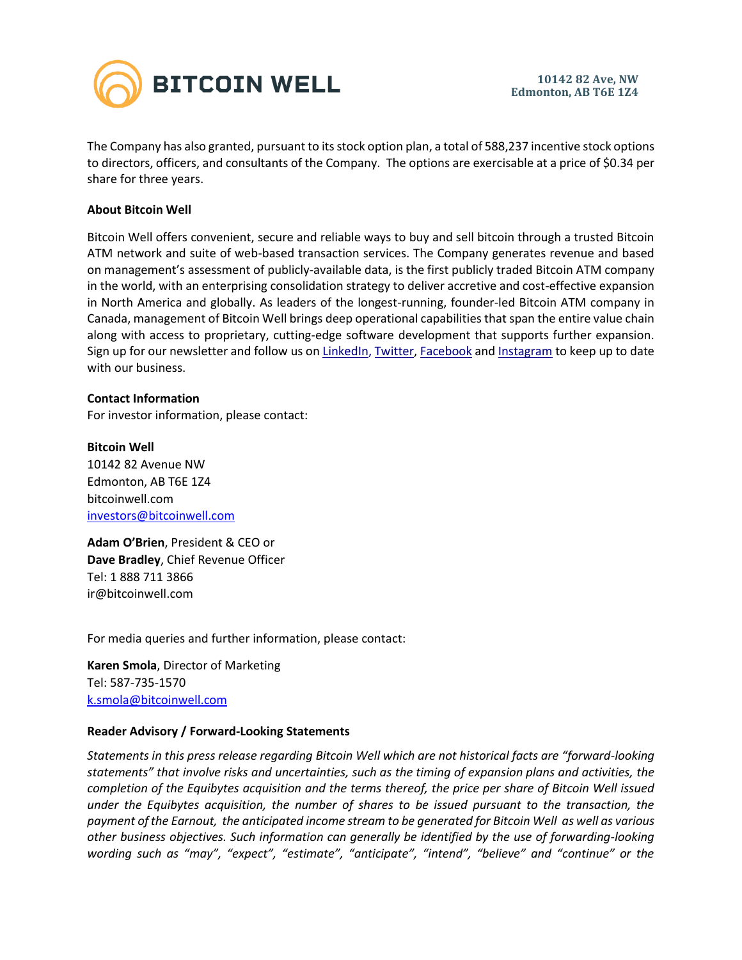

The Company has also granted, pursuant to its stock option plan, a total of 588,237 incentive stock options to directors, officers, and consultants of the Company. The options are exercisable at a price of \$0.34 per share for three years.

## **About Bitcoin Well**

Bitcoin Well offers convenient, secure and reliable ways to buy and sell bitcoin through a trusted Bitcoin ATM network and suite of web-based transaction services. The Company generates revenue and based on management's assessment of publicly-available data, is the first publicly traded Bitcoin ATM company in the world, with an enterprising consolidation strategy to deliver accretive and cost-effective expansion in North America and globally. As leaders of the longest-running, founder-led Bitcoin ATM company in Canada, management of Bitcoin Well brings deep operational capabilities that span the entire value chain along with access to proprietary, cutting-edge software development that supports further expansion. Sign up for our newsletter and follow us o[n LinkedIn,](https://www.linkedin.com/company/bitcoinwell/) [Twitter,](https://twitter.com/TheBitcoinWell) [Facebook](https://www.facebook.com/thebitcoinwell) and [Instagram](https://www.instagram.com/thebitcoinwell/) to keep up to date with our business.

### **Contact Information**

For investor information, please contact:

**Bitcoin Well** 10142 82 Avenue NW Edmonton, AB T6E 1Z4 bitcoinwell.com [investors@bitcoinwell.com](mailto:IR@bitcoinwell.com)

**Adam O'Brien**, President & CEO or **Dave Bradley**, Chief Revenue Officer Tel: 1 888 711 3866 ir@bitcoinwell.com

For media queries and further information, please contact:

**Karen Smola**, Director of Marketing Tel: 587-735-1570 [k.smola@bitcoinwell.com](mailto:k.smola@bitcoinwell.com)

### **Reader Advisory / Forward-Looking Statements**

*Statements in this press release regarding Bitcoin Well which are not historical facts are "forward-looking statements" that involve risks and uncertainties, such as the timing of expansion plans and activities, the completion of the Equibytes acquisition and the terms thereof, the price per share of Bitcoin Well issued under the Equibytes acquisition, the number of shares to be issued pursuant to the transaction, the payment of the Earnout, the anticipated income stream to be generated for Bitcoin Well as well as various other business objectives. Such information can generally be identified by the use of forwarding-looking wording such as "may", "expect", "estimate", "anticipate", "intend", "believe" and "continue" or the*